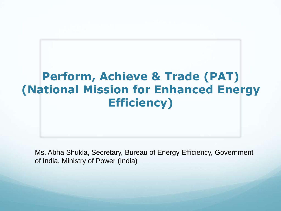

Ms. Abha Shukla, Secretary, Bureau of Energy Efficiency, Government of India, Ministry of Power (India)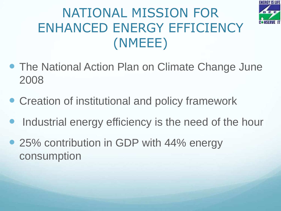

## NATIONAL MISSION FOR ENHANCED ENERGY EFFICIENCY (NMEEE)

- The National Action Plan on Climate Change June 2008
- Creation of institutional and policy framework
- Industrial energy efficiency is the need of the hour
- 25% contribution in GDP with 44% energy consumption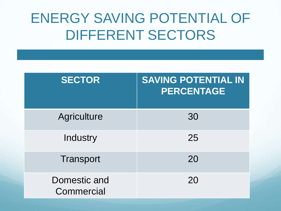## ENERGY SAVING POTENTIAL OF DIFFERENT SECTORS

| <b>SECTOR</b>              | <b>SAVING POTENTIAL IN</b><br><b>PERCENTAGE</b> |
|----------------------------|-------------------------------------------------|
| <b>Agriculture</b>         | 30                                              |
| Industry                   | 25                                              |
| <b>Transport</b>           | 20                                              |
| Domestic and<br>Commercial | 20                                              |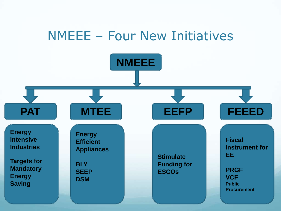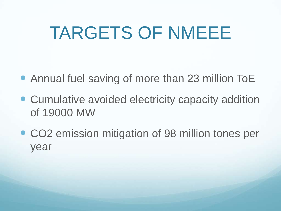# TARGETS OF NMEEE

- Annual fuel saving of more than 23 million ToE
- Cumulative avoided electricity capacity addition of 19000 MW
- CO2 emission mitigation of 98 million tones per year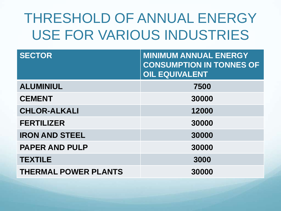## THRESHOLD OF ANNUAL ENERGY USE FOR VARIOUS INDUSTRIES

| <b>SECTOR</b>               | <b>MINIMUM ANNUAL ENERGY</b><br><b>CONSUMPTION IN TONNES OF</b><br><b>OIL EQUIVALENT</b> |
|-----------------------------|------------------------------------------------------------------------------------------|
| <b>ALUMINIUL</b>            | 7500                                                                                     |
| <b>CEMENT</b>               | 30000                                                                                    |
| <b>CHLOR-ALKALI</b>         | 12000                                                                                    |
| <b>FERTILIZER</b>           | 30000                                                                                    |
| <b>IRON AND STEEL</b>       | 30000                                                                                    |
| <b>PAPER AND PULP</b>       | 30000                                                                                    |
| <b>TEXTILE</b>              | 3000                                                                                     |
| <b>THERMAL POWER PLANTS</b> | 30000                                                                                    |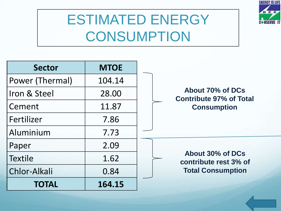

## ESTIMATED ENERGY **CONSUMPTION**

| <b>Sector</b>   | <b>MTOE</b> |                                                    |
|-----------------|-------------|----------------------------------------------------|
| Power (Thermal) | 104.14      |                                                    |
| Iron & Steel    | 28.00       | About 70% of DCs<br><b>Contribute 97% of Total</b> |
| Cement          | 11.87       | <b>Consumption</b>                                 |
| Fertilizer      | 7.86        |                                                    |
| Aluminium       | 7.73        |                                                    |
| Paper           | 2.09        |                                                    |
| <b>Textile</b>  | 1.62        | About 30% of DCs<br>contribute rest 3% of          |
| Chlor-Alkali    | 0.84        | <b>Total Consumption</b>                           |
| <b>TOTAL</b>    | 164.15      |                                                    |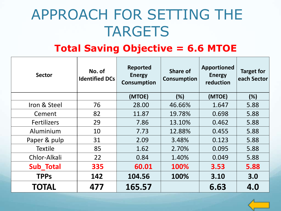## APPROACH FOR SETTING THE TARGETS

#### **Total Saving Objective = 6.6 MTOE**

| <b>Sector</b>      | No. of<br><b>Identified DCs</b> | <b>Reported</b><br><b>Energy</b><br><b>Consumption</b> | <b>Share of</b><br><b>Consumption</b> | <b>Apportioned</b><br><b>Energy</b><br>reduction | <b>Target for</b><br>each Sector |
|--------------------|---------------------------------|--------------------------------------------------------|---------------------------------------|--------------------------------------------------|----------------------------------|
|                    |                                 | (MTOE)                                                 | (%)                                   | (MTOE)                                           | (%)                              |
| Iron & Steel       | 76                              | 28.00                                                  | 46.66%                                | 1.647                                            | 5.88                             |
| Cement             | 82                              | 11.87                                                  | 19.78%                                | 0.698                                            | 5.88                             |
| <b>Fertilizers</b> | 29                              | 7.86                                                   | 13.10%                                | 0.462                                            | 5.88                             |
| Aluminium          | 10                              | 7.73                                                   | 12.88%                                | 0.455                                            | 5.88                             |
| Paper & pulp       | 31                              | 2.09                                                   | 3.48%                                 | 0.123                                            | 5.88                             |
| <b>Textile</b>     | 85                              | 1.62                                                   | 2.70%                                 | 0.095                                            | 5.88                             |
| Chlor-Alkali       | 22                              | 0.84                                                   | 1.40%                                 | 0.049                                            | 5.88                             |
| <b>Sub_Total</b>   | 335                             | 60.01                                                  | 100%                                  | 3.53                                             | 5.88                             |
| <b>TPPs</b>        | 142                             | 104.56                                                 | 100%                                  | 3.10                                             | 3.0                              |
| <b>TOTAL</b>       | 477                             | 165.57                                                 |                                       | 6.63                                             | 4.0                              |

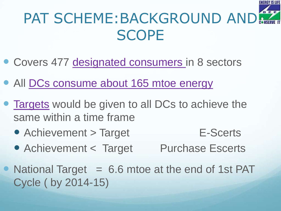## PAT SCHEME:BACKGROUND AND SCOPE

- Covers 477 des[i](#page-16-0)gnated consumers in 8 sectors
- All DCs consume about 165 mtoe energy
- Targets would be given to all DCs to achieve the same within a time frame
	- Achievement > Target E-Scerts
	- Achievement < Target Purchase Escerts
- National Target  $= 6.6$  mtoe at the end of 1st PAT Cycle ( by 2014-15)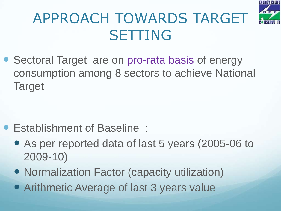

## APPROACH TOWARDS TARGET **SETTING**

• Sectoral Target are on pro-rata basis of energy consumption among 8 sectors to achieve National **Target** 

- Establishment of Baseline :
	- As per reported data of last 5 years (2005-06 to 2009-10)
	- Normalization Factor (capacity utilization)
	- Arithmetic Average of last 3 years value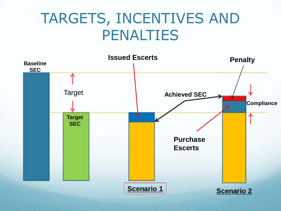## TARGETS, INCENTIVES AND PENALTIES

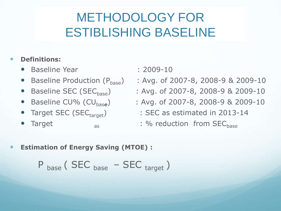### METHODOLOGY FOR ESTIBLISHING BASELINE

#### **Definitions:**

- Baseline Year : 2009-10
- 
- 
- Baseline CU% (CU<sub>base</sub>)
- 
- 
- 
- Baseline Production  $(P_{base})$  : Avg. of 2007-8, 2008-9 & 2009-10
- Baseline SEC (SEC<sub>base</sub>) : Avg. of 2007-8, 2008-9 & 2009-10
	- ) : Avg. of 2007-8, 2008-9 & 2009-10
	- Target SEC (SEC<sub>target</sub>) : SEC as estimated in 2013-14
	- Target as : % reduction from SEC<sub>hase</sub>
- **Estimation of Energy Saving (MTOE) :**

$$
P_{base}
$$
 (SEC <sub>base</sub> - SEC <sub>target</sub>)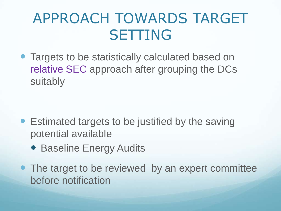## APPROACH TOWARDS TARGET SETTING

 Targets to be statistically calculated based on relative SEC [a](#page-20-0)pproach after grouping the DCs suitably

- Estimated targets to be justified by the saving potential available
	- **Baseline Energy Audits**
- The target to be reviewed by an expert committee before notification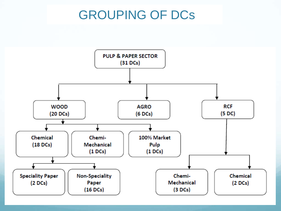### GROUPING OF DCs

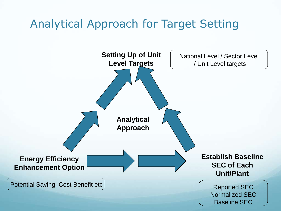### Analytical Approach for Target Setting

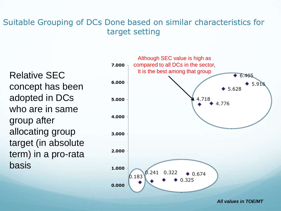#### Suitable Grouping of DCs Done based on similar characteristics for target setting

Relative SEC concept has been adopted in DCs who are in same group after allocating group target (in absolute term) in a pro-rata basis



*All values in TOE/MT*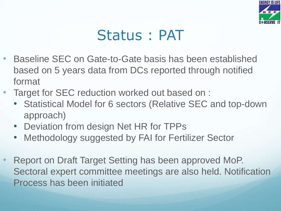

## Status : PAT

- Baseline SEC on Gate-to-Gate basis has been established based on 5 years data from DCs reported through notified format
- Target for SEC reduction worked out based on :
	- Statistical Model for 6 sectors (Relative SEC and top-down approach)
	- Deviation from design Net HR for TPPs
	- Methodology suggested by FAI for Fertilizer Sector
- <span id="page-16-0"></span>• Report on Draft Target Setting has been approved MoP. Sectoral expert committee meetings are also held. Notification Process has been initiated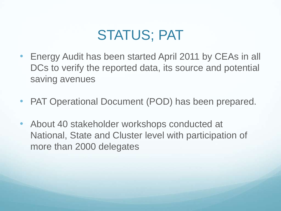## STATUS; PAT

- Energy Audit has been started April 2011 by CEAs in all DCs to verify the reported data, its source and potential saving avenues
- PAT Operational Document (POD) has been prepared.
- About 40 stakeholder workshops conducted at National, State and Cluster level with participation of more than 2000 delegates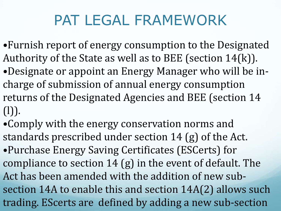## PAT LEGAL FRAMEWORK

- •Furnish report of energy consumption to the Designated Authority of the State as well as to BEE (section 14(k)). •Designate or appoint an Energy Manager who will be incharge of submission of annual energy consumption returns of the Designated Agencies and BEE (section 14 (l)).
- •Comply with the energy conservation norms and standards prescribed under section 14 (g) of the Act. •Purchase Energy Saving Certificates (ESCerts) for compliance to section 14 (g) in the event of default. The Act has been amended with the addition of new subsection 14A to enable this and section 14A(2) allows such trading. EScerts are defined by adding a new sub-section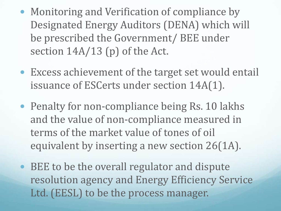- Monitoring and Verification of compliance by Designated Energy Auditors (DENA) which will be prescribed the Government/ BEE under section  $14A/13$  (p) of the Act.
- Excess achievement of the target set would entail issuance of ESCerts under section 14A(1).
- Penalty for non-compliance being Rs. 10 lakhs and the value of non-compliance measured in terms of the market value of tones of oil equivalent by inserting a new section 26(1A).
- BEE to be the overall regulator and dispute resolution agency and Energy Efficiency Service Ltd. (EESL) to be the process manager.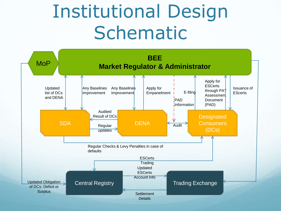# Institutional Design Schematic

<span id="page-20-0"></span>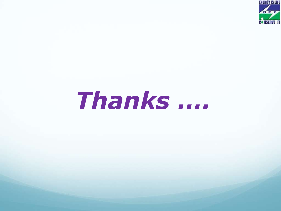

# *Thanks ….*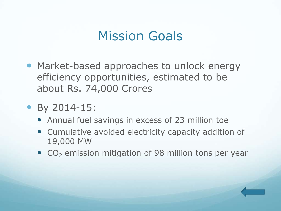### Mission Goals

- Market-based approaches to unlock energy efficiency opportunities, estimated to be about Rs. 74,000 Crores
- By 2014-15:
	- Annual fuel savings in excess of 23 million toe
	- Cumulative avoided electricity capacity addition of 19,000 MW
	- $\bullet$  CO<sub>2</sub> emission mitigation of 98 million tons per year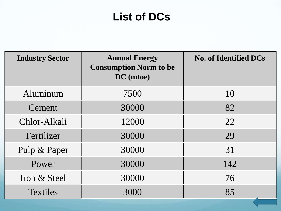#### **List of DCs**

| <b>Industry Sector</b> | <b>Annual Energy</b><br><b>Consumption Norm to be</b><br>DC (mtoe) | <b>No. of Identified DCs</b> |
|------------------------|--------------------------------------------------------------------|------------------------------|
| Aluminum               | 7500                                                               | 10                           |
| Cement                 | 30000                                                              | 82                           |
| Chlor-Alkali           | 12000                                                              | 22                           |
| Fertilizer             | 30000                                                              | 29                           |
| Pulp & Paper           | 30000                                                              | 31                           |
| Power                  | 30000                                                              | 142                          |
| Iron & Steel           | 30000                                                              | 76                           |
| <b>Textiles</b>        | 3000                                                               | 85                           |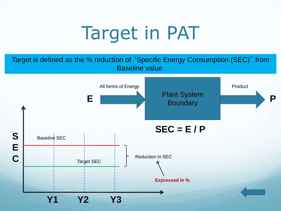# Target in PAT

Target is defined as the % reduction of 'Specific Energy Consumption (SEC)' from Baseline value.

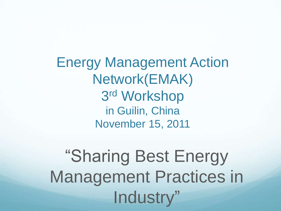Energy Management Action Network(EMAK) 3 rd Workshop in Guilin, China November 15, 2011

"Sharing Best Energy Management Practices in Industry"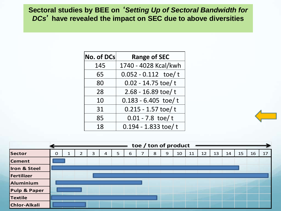#### **Sectoral studies by BEE on** '*Setting Up of Sectoral Bandwidth for DCs*' **have revealed the impact on SEC due to above diversities**

| No. of DCs | <b>Range of SEC</b>   |
|------------|-----------------------|
| 145        | 1740 - 4028 Kcal/kwh  |
| 65         | $0.052 - 0.112$ toe/t |
| 80         | $0.02 - 14.75$ toe/t  |
| 28         | 2.68 - 16.89 toe/t    |
| 10         | $0.183 - 6.405$ toe/t |
| 31         | $0.215 - 1.57$ toe/t  |
| 85         | $0.01 - 7.8$ toe/t    |
| 18         | $0.194 - 1.833$ toe/t |

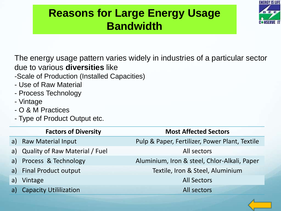### **Reasons for Large Energy Usage Bandwidth**



The energy usage pattern varies widely in industries of a particular sector due to various **diversities** like

- -Scale of Production (Installed Capacities)
- Use of Raw Material
- Process Technology
- Vintage
- O & M Practices
- Type of Product Output etc.

|    | <b>Factors of Diversity</b>       | <b>Most Affected Sectors</b>                   |
|----|-----------------------------------|------------------------------------------------|
| a) | <b>Raw Material Input</b>         | Pulp & Paper, Fertilizer, Power Plant, Textile |
|    | a) Quality of Raw Material / Fuel | All sectors                                    |
| a) | Process & Technology              | Aluminium, Iron & steel, Chlor-Alkali, Paper   |
|    | a) Final Product output           | Textile, Iron & Steel, Aluminium               |
| a) | Vintage                           | <b>All Sectors</b>                             |
| a) | <b>Capacity Utililization</b>     | All sectors                                    |